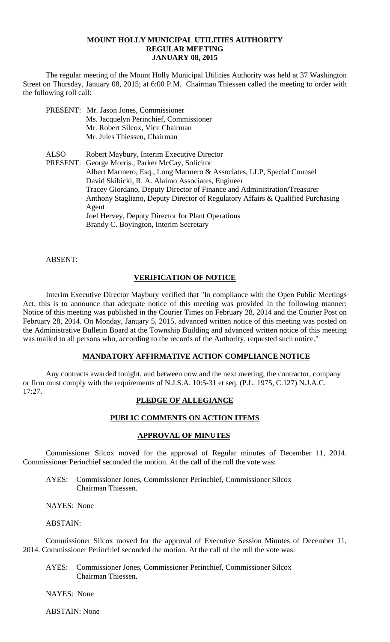## **MOUNT HOLLY MUNICIPAL UTILITIES AUTHORITY REGULAR MEETING JANUARY 08, 2015**

 The regular meeting of the Mount Holly Municipal Utilities Authority was held at 37 Washington Street on Thursday, January 08, 2015; at 6:00 P.M. Chairman Thiessen called the meeting to order with the following roll call:

- PRESENT: Mr. Jason Jones, Commissioner Ms. Jacquelyn Perinchief, Commissioner Mr. Robert Silcox, Vice Chairman Mr. Jules Thiessen, Chairman
- ALSO Robert Maybury, Interim Executive Director PRESENT: George Morris., Parker McCay, Solicitor Albert Marmero, Esq., Long Marmero & Associates, LLP, Special Counsel David Skibicki, R. A. Alaimo Associates, Engineer Tracey Giordano, Deputy Director of Finance and Administration/Treasurer Anthony Stagliano, Deputy Director of Regulatory Affairs & Qualified Purchasing Agent Joel Hervey, Deputy Director for Plant Operations Brandy C. Boyington, Interim Secretary

ABSENT:

## **VERIFICATION OF NOTICE**

 Interim Executive Director Maybury verified that "In compliance with the Open Public Meetings Act, this is to announce that adequate notice of this meeting was provided in the following manner: Notice of this meeting was published in the Courier Times on February 28, 2014 and the Courier Post on February 28, 2014. On Monday, January 5, 2015, advanced written notice of this meeting was posted on the Administrative Bulletin Board at the Township Building and advanced written notice of this meeting was mailed to all persons who, according to the records of the Authority, requested such notice."

## **MANDATORY AFFIRMATIVE ACTION COMPLIANCE NOTICE**

 Any contracts awarded tonight, and between now and the next meeting, the contractor, company or firm must comply with the requirements of N.J.S.A. 10:5-31 et seq. (P.L. 1975, C.127) N.J.A.C. 17:27.

## **PLEDGE OF ALLEGIANCE**

### **PUBLIC COMMENTS ON ACTION ITEMS**

### **APPROVAL OF MINUTES**

Commissioner Silcox moved for the approval of Regular minutes of December 11, 2014. Commissioner Perinchief seconded the motion. At the call of the roll the vote was:

AYES: Commissioner Jones, Commissioner Perinchief, Commissioner Silcox Chairman Thiessen.

NAYES: None

ABSTAIN:

Commissioner Silcox moved for the approval of Executive Session Minutes of December 11, 2014. Commissioner Perinchief seconded the motion. At the call of the roll the vote was:

AYES: Commissioner Jones, Commissioner Perinchief, Commissioner Silcox Chairman Thiessen.

NAYES: None

ABSTAIN: None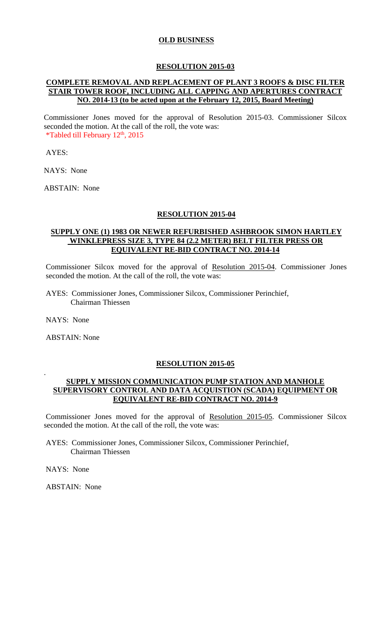## **OLD BUSINESS**

### **RESOLUTION 2015-03**

# **COMPLETE REMOVAL AND REPLACEMENT OF PLANT 3 ROOFS & DISC FILTER STAIR TOWER ROOF, INCLUDING ALL CAPPING AND APERTURES CONTRACT NO. 2014-13 (to be acted upon at the February 12, 2015, Board Meeting)**

Commissioner Jones moved for the approval of Resolution 2015-03. Commissioner Silcox seconded the motion. At the call of the roll, the vote was: \*Tabled till February  $12<sup>th</sup>$ , 2015

AYES:

NAYS: None

ABSTAIN: None

### **RESOLUTION 2015-04**

## **SUPPLY ONE (1) 1983 OR NEWER REFURBISHED ASHBROOK SIMON HARTLEY WINKLEPRESS SIZE 3, TYPE 84 (2.2 METER) BELT FILTER PRESS OR EQUIVALENT RE-BID CONTRACT NO. 2014-14**

Commissioner Silcox moved for the approval of Resolution 2015-04. Commissioner Jones seconded the motion. At the call of the roll, the vote was:

 AYES: Commissioner Jones, Commissioner Silcox, Commissioner Perinchief, Chairman Thiessen

NAYS: None

.

ABSTAIN: None

### **RESOLUTION 2015-05**

### **SUPPLY MISSION COMMUNICATION PUMP STATION AND MANHOLE SUPERVISORY CONTROL AND DATA ACQUISTION (SCADA) EQUIPMENT OR EQUIVALENT RE-BID CONTRACT NO. 2014-9**

Commissioner Jones moved for the approval of Resolution 2015-05. Commissioner Silcox seconded the motion. At the call of the roll, the vote was:

 AYES: Commissioner Jones, Commissioner Silcox, Commissioner Perinchief, Chairman Thiessen

NAYS: None

ABSTAIN: None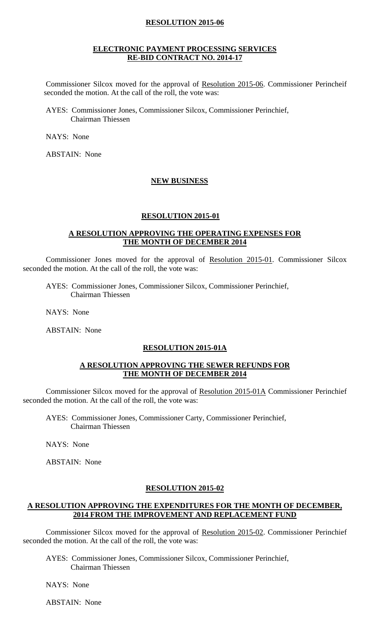## **RESOLUTION 2015-06**

### **ELECTRONIC PAYMENT PROCESSING SERVICES RE-BID CONTRACT NO. 2014-17**

Commissioner Silcox moved for the approval of Resolution 2015-06. Commissioner Perincheif seconded the motion. At the call of the roll, the vote was:

 AYES: Commissioner Jones, Commissioner Silcox, Commissioner Perinchief, Chairman Thiessen

NAYS: None

ABSTAIN: None

### **NEW BUSINESS**

### **RESOLUTION 2015-01**

### **A RESOLUTION APPROVING THE OPERATING EXPENSES FOR THE MONTH OF DECEMBER 2014**

Commissioner Jones moved for the approval of Resolution 2015-01. Commissioner Silcox seconded the motion. At the call of the roll, the vote was:

 AYES: Commissioner Jones, Commissioner Silcox, Commissioner Perinchief, Chairman Thiessen

NAYS: None

ABSTAIN: None

### **RESOLUTION 2015-01A**

### **A RESOLUTION APPROVING THE SEWER REFUNDS FOR THE MONTH OF DECEMBER 2014**

Commissioner Silcox moved for the approval of Resolution 2015-01A Commissioner Perinchief seconded the motion. At the call of the roll, the vote was:

 AYES: Commissioner Jones, Commissioner Carty, Commissioner Perinchief, Chairman Thiessen

NAYS: None

ABSTAIN: None

#### **RESOLUTION 2015-02**

### **A RESOLUTION APPROVING THE EXPENDITURES FOR THE MONTH OF DECEMBER, 2014 FROM THE IMPROVEMENT AND REPLACEMENT FUND**

Commissioner Silcox moved for the approval of Resolution 2015-02. Commissioner Perinchief seconded the motion. At the call of the roll, the vote was:

 AYES: Commissioner Jones, Commissioner Silcox, Commissioner Perinchief, Chairman Thiessen

NAYS: None

ABSTAIN: None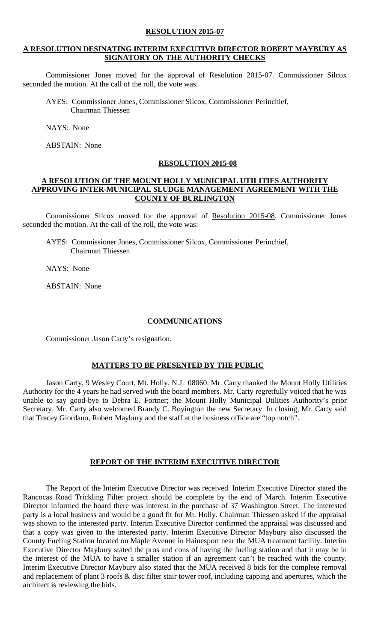### **RESOLUTION 2015-07**

## **A RESOLUTION DESINATING INTERIM EXECUTIVR DIRECTOR ROBERT MAYBURY AS SIGNATORY ON THE AUTHORITY CHECKS**

Commissioner Jones moved for the approval of Resolution 2015-07. Commissioner Silcox seconded the motion. At the call of the roll, the vote was:

 AYES: Commissioner Jones, Commissioner Silcox, Commissioner Perinchief, Chairman Thiessen

NAYS: None

ABSTAIN: None

### **RESOLUTION 2015-08**

### **A RESOLUTION OF THE MOUNT HOLLY MUNICIPAL UTILITIES AUTHORITY APPROVING INTER-MUNICIPAL SLUDGE MANAGEMENT AGREEMENT WITH THE COUNTY OF BURLINGTON**

Commissioner Silcox moved for the approval of Resolution 2015-08. Commissioner Jones seconded the motion. At the call of the roll, the vote was:

 AYES: Commissioner Jones, Commissioner Silcox, Commissioner Perinchief, Chairman Thiessen

NAYS: None

ABSTAIN: None

### **COMMUNICATIONS**

Commissioner Jason Carty's resignation.

### **MATTERS TO BE PRESENTED BY THE PUBLIC**

Jason Carty, 9 Wesley Court, Mt. Holly, N.J. 08060. Mr. Carty thanked the Mount Holly Utilities Authority for the 4 years he had served with the board members. Mr. Carty regretfully voiced that he was unable to say good-bye to Debra E. Fortner; the Mount Holly Municipal Utilities Authority's prior Secretary. Mr. Carty also welcomed Brandy C. Boyington the new Secretary. In closing, Mr. Carty said that Tracey Giordano, Robert Maybury and the staff at the business office are "top notch".

## **REPORT OF THE INTERIM EXECUTIVE DIRECTOR**

The Report of the Interim Executive Director was received. Interim Executive Director stated the Rancocas Road Trickling Filter project should be complete by the end of March. Interim Executive Director informed the board there was interest in the purchase of 37 Washington Street. The interested party is a local business and would be a good fit for Mt. Holly. Chairman Thiessen asked if the appraisal was shown to the interested party. Interim Executive Director confirmed the appraisal was discussed and that a copy was given to the interested party. Interim Executive Director Maybury also discussed the County Fueling Station located on Maple Avenue in Hainesport near the MUA treatment facility. Interim Executive Director Maybury stated the pros and cons of having the fueling station and that it may be in the interest of the MUA to have a smaller station if an agreement can't be reached with the county. Interim Executive Director Maybury also stated that the MUA received 8 bids for the complete removal and replacement of plant 3 roofs & disc filter stair tower roof, including capping and apertures, which the architect is reviewing the bids.